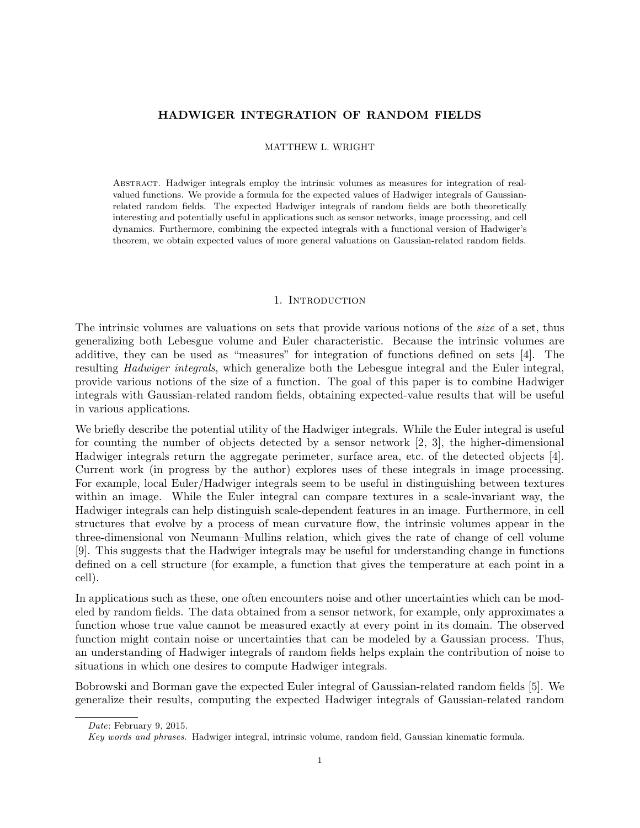# HADWIGER INTEGRATION OF RANDOM FIELDS

MATTHEW L. WRIGHT

Abstract. Hadwiger integrals employ the intrinsic volumes as measures for integration of realvalued functions. We provide a formula for the expected values of Hadwiger integrals of Gaussianrelated random fields. The expected Hadwiger integrals of random fields are both theoretically interesting and potentially useful in applications such as sensor networks, image processing, and cell dynamics. Furthermore, combining the expected integrals with a functional version of Hadwiger's theorem, we obtain expected values of more general valuations on Gaussian-related random fields.

#### 1. INTRODUCTION

The intrinsic volumes are valuations on sets that provide various notions of the size of a set, thus generalizing both Lebesgue volume and Euler characteristic. Because the intrinsic volumes are additive, they can be used as "measures" for integration of functions defined on sets [4]. The resulting Hadwiger integrals, which generalize both the Lebesgue integral and the Euler integral, provide various notions of the size of a function. The goal of this paper is to combine Hadwiger integrals with Gaussian-related random fields, obtaining expected-value results that will be useful in various applications.

We briefly describe the potential utility of the Hadwiger integrals. While the Euler integral is useful for counting the number of objects detected by a sensor network [2, 3], the higher-dimensional Hadwiger integrals return the aggregate perimeter, surface area, etc. of the detected objects [4]. Current work (in progress by the author) explores uses of these integrals in image processing. For example, local Euler/Hadwiger integrals seem to be useful in distinguishing between textures within an image. While the Euler integral can compare textures in a scale-invariant way, the Hadwiger integrals can help distinguish scale-dependent features in an image. Furthermore, in cell structures that evolve by a process of mean curvature flow, the intrinsic volumes appear in the three-dimensional von Neumann–Mullins relation, which gives the rate of change of cell volume [9]. This suggests that the Hadwiger integrals may be useful for understanding change in functions defined on a cell structure (for example, a function that gives the temperature at each point in a cell).

In applications such as these, one often encounters noise and other uncertainties which can be modeled by random fields. The data obtained from a sensor network, for example, only approximates a function whose true value cannot be measured exactly at every point in its domain. The observed function might contain noise or uncertainties that can be modeled by a Gaussian process. Thus, an understanding of Hadwiger integrals of random fields helps explain the contribution of noise to situations in which one desires to compute Hadwiger integrals.

Bobrowski and Borman gave the expected Euler integral of Gaussian-related random fields [5]. We generalize their results, computing the expected Hadwiger integrals of Gaussian-related random

Date: February 9, 2015.

Key words and phrases. Hadwiger integral, intrinsic volume, random field, Gaussian kinematic formula.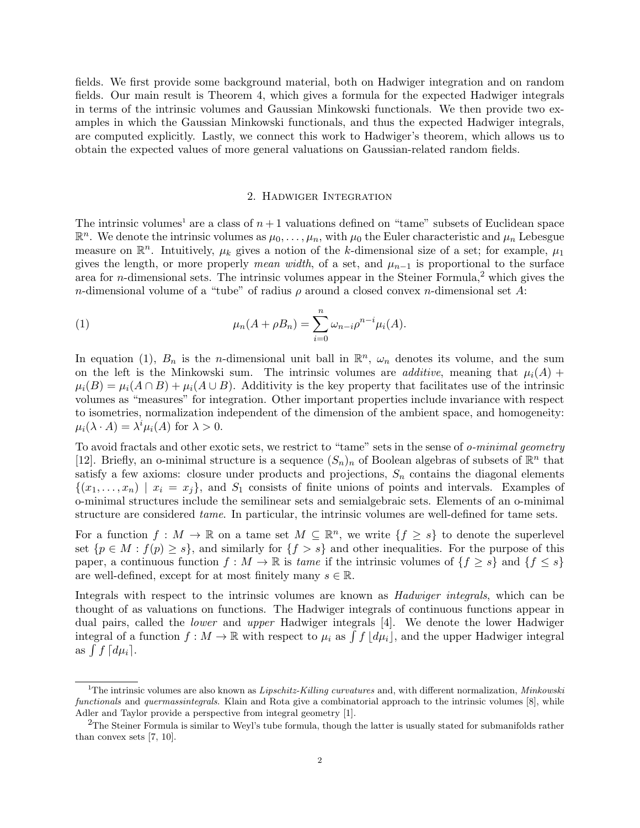fields. We first provide some background material, both on Hadwiger integration and on random fields. Our main result is Theorem 4, which gives a formula for the expected Hadwiger integrals in terms of the intrinsic volumes and Gaussian Minkowski functionals. We then provide two examples in which the Gaussian Minkowski functionals, and thus the expected Hadwiger integrals, are computed explicitly. Lastly, we connect this work to Hadwiger's theorem, which allows us to obtain the expected values of more general valuations on Gaussian-related random fields.

## 2. Hadwiger Integration

The intrinsic volumes<sup>1</sup> are a class of  $n+1$  valuations defined on "tame" subsets of Euclidean space  $\mathbb{R}^n$ . We denote the intrinsic volumes as  $\mu_0, \ldots, \mu_n$ , with  $\mu_0$  the Euler characteristic and  $\mu_n$  Lebesgue measure on  $\mathbb{R}^n$ . Intuitively,  $\mu_k$  gives a notion of the k-dimensional size of a set; for example,  $\mu_1$ gives the length, or more properly mean width, of a set, and  $\mu_{n-1}$  is proportional to the surface area for *n*-dimensional sets. The intrinsic volumes appear in the Steiner Formula,<sup>2</sup> which gives the n-dimensional volume of a "tube" of radius  $\rho$  around a closed convex n-dimensional set A:

(1) 
$$
\mu_n(A + \rho B_n) = \sum_{i=0}^n \omega_{n-i} \rho^{n-i} \mu_i(A).
$$

In equation (1),  $B_n$  is the *n*-dimensional unit ball in  $\mathbb{R}^n$ ,  $\omega_n$  denotes its volume, and the sum on the left is the Minkowski sum. The intrinsic volumes are *additive*, meaning that  $\mu_i(A)$  +  $\mu_i(B) = \mu_i(A \cap B) + \mu_i(A \cup B)$ . Additivity is the key property that facilitates use of the intrinsic volumes as "measures" for integration. Other important properties include invariance with respect to isometries, normalization independent of the dimension of the ambient space, and homogeneity:  $\mu_i(\lambda \cdot A) = \lambda^i \mu_i(A)$  for  $\lambda > 0$ .

To avoid fractals and other exotic sets, we restrict to "tame" sets in the sense of *o-minimal geometry* [12]. Briefly, an o-minimal structure is a sequence  $(S_n)_n$  of Boolean algebras of subsets of  $\mathbb{R}^n$  that satisfy a few axioms: closure under products and projections,  $S_n$  contains the diagonal elements  $\{(x_1, \ldots, x_n) \mid x_i = x_j\}$ , and  $S_1$  consists of finite unions of points and intervals. Examples of o-minimal structures include the semilinear sets and semialgebraic sets. Elements of an o-minimal structure are considered tame. In particular, the intrinsic volumes are well-defined for tame sets.

For a function  $f: M \to \mathbb{R}$  on a tame set  $M \subseteq \mathbb{R}^n$ , we write  $\{f \geq s\}$  to denote the superlevel set  $\{p \in M : f(p) \geq s\}$ , and similarly for  $\{f > s\}$  and other inequalities. For the purpose of this paper, a continuous function  $f : M \to \mathbb{R}$  is tame if the intrinsic volumes of  $\{f \geq s\}$  and  $\{f \leq s\}$ are well-defined, except for at most finitely many  $s \in \mathbb{R}$ .

Integrals with respect to the intrinsic volumes are known as Hadwiger integrals, which can be thought of as valuations on functions. The Hadwiger integrals of continuous functions appear in dual pairs, called the lower and upper Hadwiger integrals [4]. We denote the lower Hadwiger integral of a function  $f: M \to \mathbb{R}$  with respect to  $\mu_i$  as  $\int f\left[d\mu_i\right]$ , and the upper Hadwiger integral as  $\int f \, d\mu_i$ .

<sup>&</sup>lt;sup>1</sup>The intrinsic volumes are also known as *Lipschitz-Killing curvatures* and, with different normalization, *Minkowski* functionals and quermassintegrals. Klain and Rota give a combinatorial approach to the intrinsic volumes [8], while Adler and Taylor provide a perspective from integral geometry [1].

<sup>2</sup>The Steiner Formula is similar to Weyl's tube formula, though the latter is usually stated for submanifolds rather than convex sets [7, 10].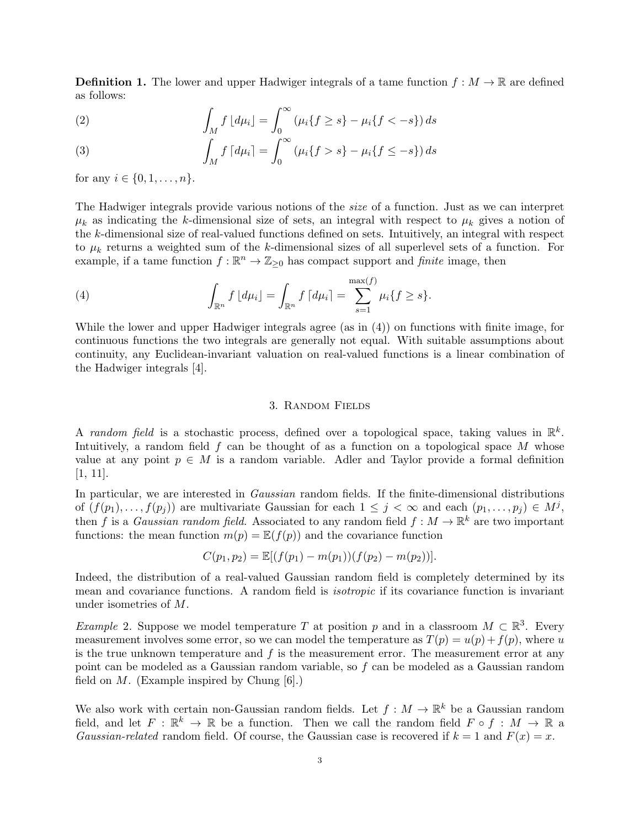**Definition 1.** The lower and upper Hadwiger integrals of a tame function  $f : M \to \mathbb{R}$  are defined as follows:

(2) 
$$
\int_M f \, [d\mu_i] = \int_0^\infty (\mu_i \{ f \ge s \} - \mu_i \{ f < -s \}) ds
$$

(3) 
$$
\int_M f \, [d\mu_i] = \int_0^\infty (\mu_i \{ f > s \} - \mu_i \{ f \le -s \}) ds
$$

for any  $i \in \{0, 1, ..., n\}$ .

The Hadwiger integrals provide various notions of the size of a function. Just as we can interpret  $\mu_k$  as indicating the k-dimensional size of sets, an integral with respect to  $\mu_k$  gives a notion of the k-dimensional size of real-valued functions defined on sets. Intuitively, an integral with respect to  $\mu_k$  returns a weighted sum of the k-dimensional sizes of all superlevel sets of a function. For example, if a tame function  $f : \mathbb{R}^n \to \mathbb{Z}_{\geq 0}$  has compact support and *finite* image, then

(4) 
$$
\int_{\mathbb{R}^n} f \, [d\mu_i] = \int_{\mathbb{R}^n} f \, [d\mu_i] = \sum_{s=1}^{\max(f)} \mu_i \{ f \geq s \}.
$$

While the lower and upper Hadwiger integrals agree (as in (4)) on functions with finite image, for continuous functions the two integrals are generally not equal. With suitable assumptions about continuity, any Euclidean-invariant valuation on real-valued functions is a linear combination of the Hadwiger integrals [4].

### 3. Random Fields

A random field is a stochastic process, defined over a topological space, taking values in  $\mathbb{R}^k$ . Intuitively, a random field  $f$  can be thought of as a function on a topological space  $M$  whose value at any point  $p \in M$  is a random variable. Adler and Taylor provide a formal definition [1, 11].

In particular, we are interested in *Gaussian* random fields. If the finite-dimensional distributions of  $(f(p_1),..., f(p_j))$  are multivariate Gaussian for each  $1 \leq j < \infty$  and each  $(p_1,..., p_j) \in M^j$ , then f is a *Gaussian random field*. Associated to any random field  $f : M \to \mathbb{R}^k$  are two important functions: the mean function  $m(p) = \mathbb{E}(f(p))$  and the covariance function

$$
C(p_1, p_2) = \mathbb{E}[(f(p_1) - m(p_1))(f(p_2) - m(p_2))].
$$

Indeed, the distribution of a real-valued Gaussian random field is completely determined by its mean and covariance functions. A random field is isotropic if its covariance function is invariant under isometries of M.

Example 2. Suppose we model temperature T at position p and in a classroom  $M \subset \mathbb{R}^3$ . Every measurement involves some error, so we can model the temperature as  $T(p) = u(p) + f(p)$ , where u is the true unknown temperature and  $f$  is the measurement error. The measurement error at any point can be modeled as a Gaussian random variable, so f can be modeled as a Gaussian random field on  $M$ . (Example inspired by Chung [6].)

We also work with certain non-Gaussian random fields. Let  $f: M \to \mathbb{R}^k$  be a Gaussian random field, and let  $F : \mathbb{R}^k \to \mathbb{R}$  be a function. Then we call the random field  $F \circ f : M \to \mathbb{R}$  a Gaussian-related random field. Of course, the Gaussian case is recovered if  $k = 1$  and  $F(x) = x$ .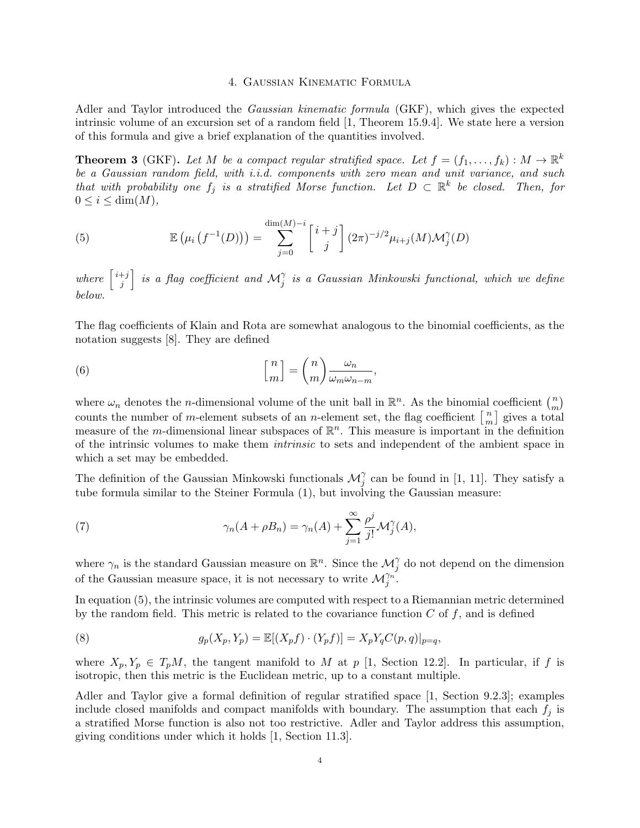### 4. Gaussian Kinematic Formula

Adler and Taylor introduced the Gaussian kinematic formula (GKF), which gives the expected intrinsic volume of an excursion set of a random field [1, Theorem 15.9.4]. We state here a version of this formula and give a brief explanation of the quantities involved.

**Theorem 3** (GKF). Let M be a compact regular stratified space. Let  $f = (f_1, \ldots, f_k) : M \to \mathbb{R}^k$ be a Gaussian random field, with i.i.d. components with zero mean and unit variance, and such that with probability one  $f_j$  is a stratified Morse function. Let  $D \subset \mathbb{R}^k$  be closed. Then, for  $0 \leq i \leq \dim(M)$ ,

(5) 
$$
\mathbb{E}\left(\mu_i\left(f^{-1}(D)\right)\right) = \sum_{j=0}^{\dim(M)-i} \begin{bmatrix} i+j \\ j \end{bmatrix} (2\pi)^{-j/2} \mu_{i+j}(M) \mathcal{M}_j^{\gamma}(D)
$$

where  $\begin{bmatrix} i+j \\ i \end{bmatrix}$  $\left. \frac{f+j}{j} \right|$  is a flag coefficient and  $\mathcal{M}_j^\gamma$  is a Gaussian Minkowski functional, which we define below.

The flag coefficients of Klain and Rota are somewhat analogous to the binomial coefficients, as the notation suggests [8]. They are defined

(6) 
$$
\begin{bmatrix} n \\ m \end{bmatrix} = \binom{n}{m} \frac{\omega_n}{\omega_m \omega_{n-m}},
$$

where  $\omega_n$  denotes the *n*-dimensional volume of the unit ball in  $\mathbb{R}^n$ . As the binomial coefficient  $\binom{n}{m}$  $\binom{n}{m}$ counts the number of m-element subsets of an n-element set, the flag coefficient  $\begin{bmatrix} n \\ m \end{bmatrix}$  $\binom{n}{m}$  gives a total measure of the *m*-dimensional linear subspaces of  $\mathbb{R}^n$ . This measure is important in the definition of the intrinsic volumes to make them intrinsic to sets and independent of the ambient space in which a set may be embedded.

The definition of the Gaussian Minkowski functionals  $\mathcal{M}_{j}^{\gamma}$  can be found in [1, 11]. They satisfy a tube formula similar to the Steiner Formula (1), but involving the Gaussian measure:

(7) 
$$
\gamma_n(A+\rho B_n)=\gamma_n(A)+\sum_{j=1}^{\infty}\frac{\rho^j}{j!}\mathcal{M}_j^{\gamma}(A),
$$

where  $\gamma_n$  is the standard Gaussian measure on  $\mathbb{R}^n$ . Since the  $\mathcal{M}_j^{\gamma}$  do not depend on the dimension of the Gaussian measure space, it is not necessary to write  $\mathcal{M}_{j}^{\gamma_{n}}$ .

In equation (5), the intrinsic volumes are computed with respect to a Riemannian metric determined by the random field. This metric is related to the covariance function  $C$  of  $f$ , and is defined

(8) 
$$
g_p(X_p, Y_p) = \mathbb{E}[(X_p f) \cdot (Y_p f)] = X_p Y_q C(p, q)|_{p=q},
$$

where  $X_p, Y_p \in T_pM$ , the tangent manifold to M at p [1, Section 12.2]. In particular, if f is isotropic, then this metric is the Euclidean metric, up to a constant multiple.

Adler and Taylor give a formal definition of regular stratified space [1, Section 9.2.3]; examples include closed manifolds and compact manifolds with boundary. The assumption that each  $f_j$  is a stratified Morse function is also not too restrictive. Adler and Taylor address this assumption, giving conditions under which it holds [1, Section 11.3].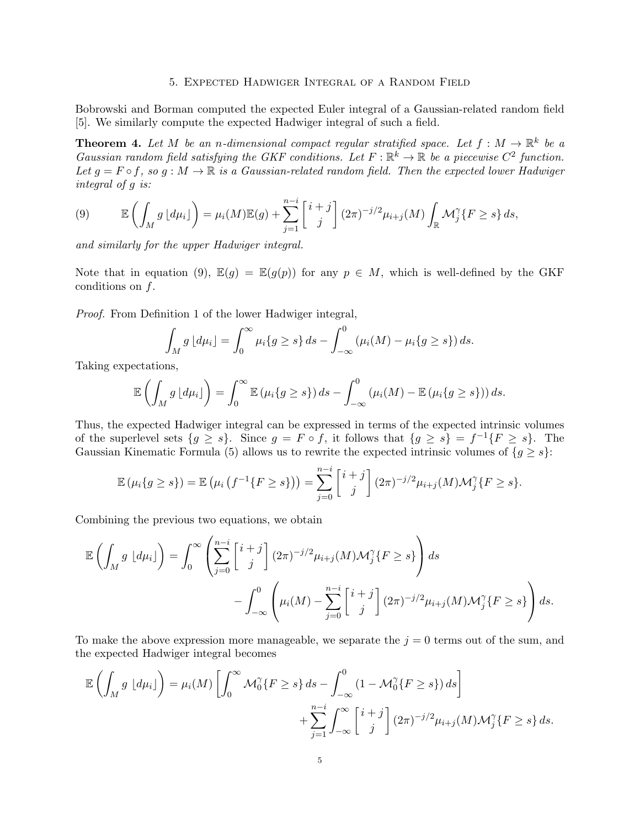#### 5. Expected Hadwiger Integral of a Random Field

Bobrowski and Borman computed the expected Euler integral of a Gaussian-related random field [5]. We similarly compute the expected Hadwiger integral of such a field.

**Theorem 4.** Let M be an n-dimensional compact regular stratified space. Let  $f : M \to \mathbb{R}^k$  be a Gaussian random field satisfying the GKF conditions. Let  $F: \mathbb{R}^k \to \mathbb{R}$  be a piecewise  $C^2$  function. Let  $g = F \circ f$ , so  $g : M \to \mathbb{R}$  is a Gaussian-related random field. Then the expected lower Hadwiger integral of g is:

(9) 
$$
\mathbb{E}\left(\int_M g\left[d\mu_i\right]\right) = \mu_i(M)\mathbb{E}(g) + \sum_{j=1}^{n-i} \left[\begin{array}{c}i+j\\j\end{array}\right](2\pi)^{-j/2}\mu_{i+j}(M)\int_{\mathbb{R}} \mathcal{M}_j^{\gamma}\{F \geq s\} ds,
$$

and similarly for the upper Hadwiger integral.

Note that in equation (9),  $\mathbb{E}(g) = \mathbb{E}(g(p))$  for any  $p \in M$ , which is well-defined by the GKF conditions on f.

Proof. From Definition 1 of the lower Hadwiger integral,

$$
\int_M g \, [d\mu_i] = \int_0^\infty \mu_i \{ g \ge s \} \, ds - \int_{-\infty}^0 \left( \mu_i(M) - \mu_i \{ g \ge s \} \right) ds.
$$

Taking expectations,

$$
\mathbb{E}\left(\int_M g\left[d\mu_i\right]\right)=\int_0^\infty \mathbb{E}\left(\mu_i\{g\geq s\}\right)ds-\int_{-\infty}^0 \left(\mu_i(M)-\mathbb{E}\left(\mu_i\{g\geq s\}\right)\right)ds.
$$

Thus, the expected Hadwiger integral can be expressed in terms of the expected intrinsic volumes of the superlevel sets  $\{g \geq s\}$ . Since  $g = F \circ f$ , it follows that  $\{g \geq s\} = f^{-1}\{F \geq s\}$ . The Gaussian Kinematic Formula (5) allows us to rewrite the expected intrinsic volumes of  $\{g \geq s\}$ :

$$
\mathbb{E}(\mu_i\{g \ge s\}) = \mathbb{E}(\mu_i(f^{-1}\{F \ge s\})) = \sum_{j=0}^{n-i} {i+j \choose j} (2\pi)^{-j/2} \mu_{i+j}(M) \mathcal{M}_j^{\gamma}\{F \ge s\}.
$$

Combining the previous two equations, we obtain

$$
\mathbb{E}\left(\int_M g \left[d\mu_i\right]\right) = \int_0^\infty \left(\sum_{j=0}^{n-i} \begin{bmatrix} i+j\\j \end{bmatrix} (2\pi)^{-j/2} \mu_{i+j}(M) \mathcal{M}_j^{\gamma} \{F \ge s\} \right) ds
$$
  
- 
$$
\int_{-\infty}^0 \left(\mu_i(M) - \sum_{j=0}^{n-i} \begin{bmatrix} i+j\\j \end{bmatrix} (2\pi)^{-j/2} \mu_{i+j}(M) \mathcal{M}_j^{\gamma} \{F \ge s\} \right) ds.
$$

To make the above expression more manageable, we separate the  $j = 0$  terms out of the sum, and the expected Hadwiger integral becomes

$$
\mathbb{E}\left(\int_M g \left[d\mu_i\right]\right) = \mu_i(M) \left[\int_0^\infty \mathcal{M}_0^\gamma\{F \ge s\} ds - \int_{-\infty}^0 (1 - \mathcal{M}_0^\gamma\{F \ge s\}) ds\right] + \sum_{j=1}^{n-i} \int_{-\infty}^\infty \begin{bmatrix} i+j \\ j \end{bmatrix} (2\pi)^{-j/2} \mu_{i+j}(M) \mathcal{M}_j^\gamma\{F \ge s\} ds.
$$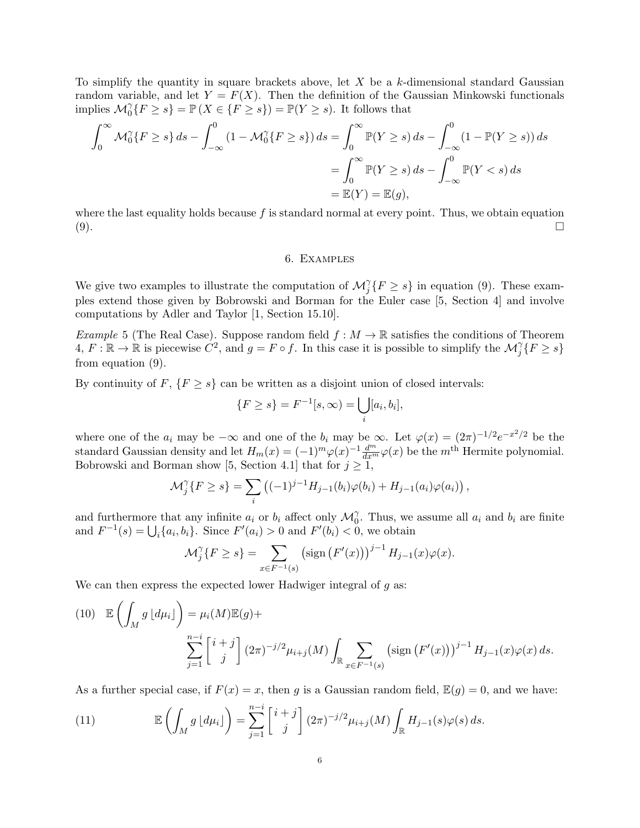To simplify the quantity in square brackets above, let  $X$  be a k-dimensional standard Gaussian random variable, and let  $Y = F(X)$ . Then the definition of the Gaussian Minkowski functionals implies  $\mathcal{M}_0^{\gamma} \{ F \ge s \} = \mathbb{P} \{ X \in \{ F \ge s \} \} = \mathbb{P}(Y \ge s)$ . It follows that

$$
\int_0^\infty \mathcal{M}_0^\gamma \{ F \ge s \} ds - \int_{-\infty}^0 (1 - \mathcal{M}_0^\gamma \{ F \ge s \} ) ds = \int_0^\infty \mathbb{P}(Y \ge s) ds - \int_{-\infty}^0 (1 - \mathbb{P}(Y \ge s)) ds
$$
  
= 
$$
\int_0^\infty \mathbb{P}(Y \ge s) ds - \int_{-\infty}^0 \mathbb{P}(Y < s) ds
$$
  
= 
$$
\mathbb{E}(Y) = \mathbb{E}(g),
$$

where the last equality holds because  $f$  is standard normal at every point. Thus, we obtain equation  $(9).$ 

### 6. Examples

We give two examples to illustrate the computation of  $\mathcal{M}_{j}^{\gamma}\lbrace F \geq s \rbrace$  in equation (9). These examples extend those given by Bobrowski and Borman for the Euler case [5, Section 4] and involve computations by Adler and Taylor [1, Section 15.10].

Example 5 (The Real Case). Suppose random field  $f : M \to \mathbb{R}$  satisfies the conditions of Theorem  $4, F: \mathbb{R} \to \mathbb{R}$  is piecewise  $C^2$ , and  $g = F \circ f$ . In this case it is possible to simplify the  $\mathcal{M}_j^{\gamma} \{ F \ge s \}$ from equation (9).

By continuity of  $F$ ,  $\{F \geq s\}$  can be written as a disjoint union of closed intervals:

$$
\{F \ge s\} = F^{-1}[s, \infty) = \bigcup_{i} [a_i, b_i],
$$

where one of the  $a_i$  may be  $-\infty$  and one of the  $b_i$  may be  $\infty$ . Let  $\varphi(x) = (2\pi)^{-1/2}e^{-x^2/2}$  be the standard Gaussian density and let  $H_m(x) = (-1)^m \varphi(x)^{-1} \frac{d^m}{dx^m} \varphi(x)$  be the m<sup>th</sup> Hermite polynomial. Bobrowski and Borman show [5, Section 4.1] that for  $j \geq 1$ ,

$$
\mathcal{M}_{j}^{\gamma}\{F \geq s\} = \sum_{i} ((-1)^{j-1} H_{j-1}(b_{i})\varphi(b_{i}) + H_{j-1}(a_{i})\varphi(a_{i})),
$$

and furthermore that any infinite  $a_i$  or  $b_i$  affect only  $\mathcal{M}_0^{\gamma}$ . Thus, we assume all  $a_i$  and  $b_i$  are finite and  $F^{-1}(s) = \bigcup_i \{a_i, b_i\}$ . Since  $F'(a_i) > 0$  and  $F'(b_i) < 0$ , we obtain

$$
\mathcal{M}_j^{\gamma} \{ F \ge s \} = \sum_{x \in F^{-1}(s)} \left( \text{sign} \left( F'(x) \right) \right)^{j-1} H_{j-1}(x) \varphi(x).
$$

We can then express the expected lower Hadwiger integral of  $g$  as:

(10) 
$$
\mathbb{E}\left(\int_{M} g\left[d\mu_{i}\right]\right) = \mu_{i}(M)\mathbb{E}(g) + \sum_{j=1}^{n-i} \left[\begin{array}{c}i+j\\j\end{array}\right] (2\pi)^{-j/2} \mu_{i+j}(M) \int_{\mathbb{R}} \sum_{x \in F^{-1}(s)} (\text{sign}\left(F'(x)\right))^{j-1} H_{j-1}(x) \varphi(x) \, ds.
$$

As a further special case, if  $F(x) = x$ , then g is a Gaussian random field,  $\mathbb{E}(g) = 0$ , and we have:

(11) 
$$
\mathbb{E}\left(\int_M g\left[d\mu_i\right]\right) = \sum_{j=1}^{n-i} \left[\begin{array}{c}i+j\\j\end{array}\right] (2\pi)^{-j/2} \mu_{i+j}(M) \int_{\mathbb{R}} H_{j-1}(s) \varphi(s) ds.
$$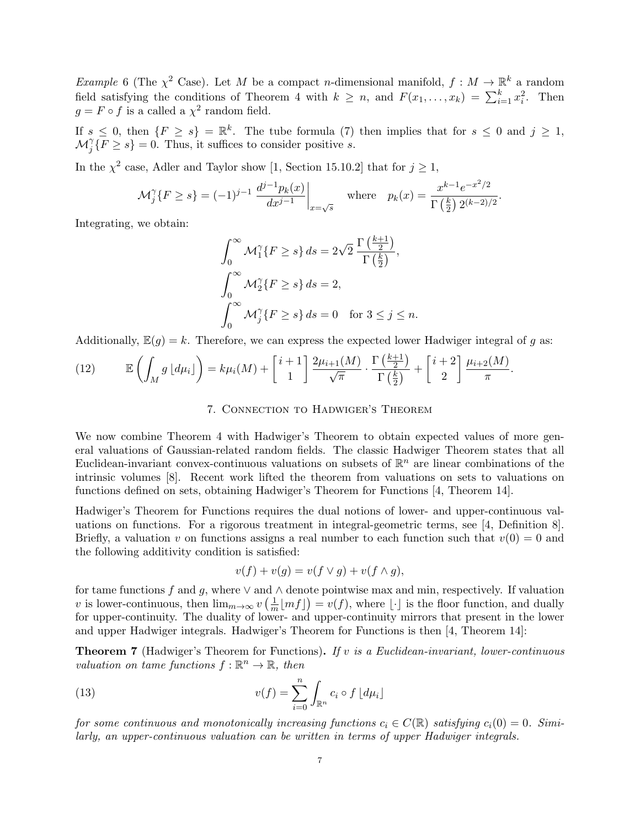*Example* 6 (The  $\chi^2$  Case). Let M be a compact n-dimensional manifold,  $f : M \to \mathbb{R}^k$  a random field satisfying the conditions of Theorem 4 with  $k \geq n$ , and  $F(x_1, \ldots, x_k) = \sum_{i=1}^k x_i^2$ . Then  $g = F \circ f$  is a called a  $\chi^2$  random field.

If  $s \leq 0$ , then  $\{F \geq s\} = \mathbb{R}^k$ . The tube formula (7) then implies that for  $s \leq 0$  and  $j \geq 1$ ,  $\mathcal{M}_{j}^{\gamma}\{\overline{F}\geq s\}=0.$  Thus, it suffices to consider positive s.

In the  $\chi^2$  case, Adler and Taylor show [1, Section 15.10.2] that for  $j \ge 1$ ,

$$
\mathcal{M}_j^{\gamma} \{ F \ge s \} = (-1)^{j-1} \left. \frac{d^{j-1} p_k(x)}{dx^{j-1}} \right|_{x = \sqrt{s}} \quad \text{where} \quad p_k(x) = \frac{x^{k-1} e^{-x^2/2}}{\Gamma\left(\frac{k}{2}\right) 2^{(k-2)/2}}.
$$

Integrating, we obtain:

$$
\int_0^\infty \mathcal{M}_1^\gamma \{ F \ge s \} ds = 2\sqrt{2} \frac{\Gamma\left(\frac{k+1}{2}\right)}{\Gamma\left(\frac{k}{2}\right)},
$$
  

$$
\int_0^\infty \mathcal{M}_2^\gamma \{ F \ge s \} ds = 2,
$$
  

$$
\int_0^\infty \mathcal{M}_j^\gamma \{ F \ge s \} ds = 0 \text{ for } 3 \le j \le n.
$$

Additionally,  $\mathbb{E}(g) = k$ . Therefore, we can express the expected lower Hadwiger integral of g as:

(12) 
$$
\mathbb{E}\left(\int_M g\left[d\mu_i\right]\right) = k\mu_i(M) + \left[\frac{i+1}{1}\right] \frac{2\mu_{i+1}(M)}{\sqrt{\pi}} \cdot \frac{\Gamma\left(\frac{k+1}{2}\right)}{\Gamma\left(\frac{k}{2}\right)} + \left[\frac{i+2}{2}\right] \frac{\mu_{i+2}(M)}{\pi}.
$$

## 7. Connection to Hadwiger's Theorem

We now combine Theorem 4 with Hadwiger's Theorem to obtain expected values of more general valuations of Gaussian-related random fields. The classic Hadwiger Theorem states that all Euclidean-invariant convex-continuous valuations on subsets of  $\mathbb{R}^n$  are linear combinations of the intrinsic volumes [8]. Recent work lifted the theorem from valuations on sets to valuations on functions defined on sets, obtaining Hadwiger's Theorem for Functions [4, Theorem 14].

Hadwiger's Theorem for Functions requires the dual notions of lower- and upper-continuous valuations on functions. For a rigorous treatment in integral-geometric terms, see [4, Definition 8]. Briefly, a valuation v on functions assigns a real number to each function such that  $v(0) = 0$  and the following additivity condition is satisfied:

$$
v(f) + v(g) = v(f \vee g) + v(f \wedge g),
$$

for tame functions f and g, where  $\vee$  and  $\wedge$  denote pointwise max and min, respectively. If valuation v is lower-continuous, then  $\lim_{m\to\infty} v\left(\frac{1}{m}\right)$  $\frac{1}{m}\lfloor mf\rfloor$  =  $v(f)$ , where  $\lfloor \cdot \rfloor$  is the floor function, and dually for upper-continuity. The duality of lower- and upper-continuity mirrors that present in the lower and upper Hadwiger integrals. Hadwiger's Theorem for Functions is then [4, Theorem 14]:

**Theorem 7** (Hadwiger's Theorem for Functions). If v is a Euclidean-invariant, lower-continuous valuation on tame functions  $f : \mathbb{R}^n \to \mathbb{R}$ , then

(13) 
$$
v(f) = \sum_{i=0}^{n} \int_{\mathbb{R}^n} c_i \circ f \lfloor d\mu_i \rfloor
$$

for some continuous and monotonically increasing functions  $c_i \in C(\mathbb{R})$  satisfying  $c_i(0) = 0$ . Similarly, an upper-continuous valuation can be written in terms of upper Hadwiger integrals.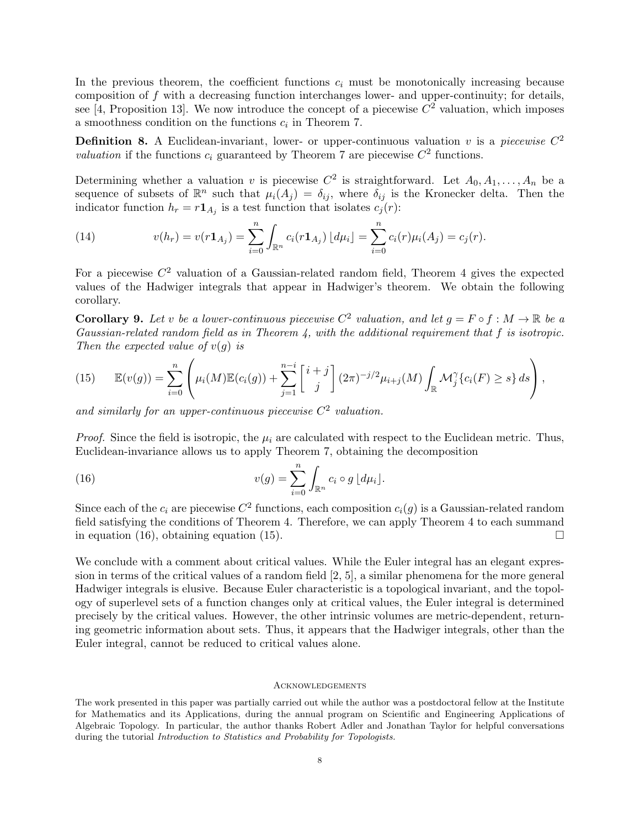In the previous theorem, the coefficient functions  $c_i$  must be monotonically increasing because composition of f with a decreasing function interchanges lower- and upper-continuity; for details, see [4, Proposition 13]. We now introduce the concept of a piecewise  $C^2$  valuation, which imposes a smoothness condition on the functions  $c_i$  in Theorem 7.

**Definition 8.** A Euclidean-invariant, lower- or upper-continuous valuation v is a piecewise  $C^2$ valuation if the functions  $c_i$  guaranteed by Theorem 7 are piecewise  $C^2$  functions.

Determining whether a valuation v is piecewise  $C^2$  is straightforward. Let  $A_0, A_1, \ldots, A_n$  be a sequence of subsets of  $\mathbb{R}^n$  such that  $\mu_i(A_j) = \delta_{ij}$ , where  $\delta_{ij}$  is the Kronecker delta. Then the indicator function  $h_r = r \mathbf{1}_{A_j}$  is a test function that isolates  $c_j(r)$ :

(14) 
$$
v(h_r) = v(r\mathbf{1}_{A_j}) = \sum_{i=0}^n \int_{\mathbb{R}^n} c_i(r\mathbf{1}_{A_j}) \left[ d\mu_i \right] = \sum_{i=0}^n c_i(r) \mu_i(A_j) = c_j(r).
$$

For a piecewise  $C^2$  valuation of a Gaussian-related random field, Theorem 4 gives the expected values of the Hadwiger integrals that appear in Hadwiger's theorem. We obtain the following corollary.

**Corollary 9.** Let v be a lower-continuous piecewise  $C^2$  valuation, and let  $g = F \circ f : M \to \mathbb{R}$  be a Gaussian-related random field as in Theorem 4, with the additional requirement that f is isotropic. Then the expected value of  $v(q)$  is

(15) 
$$
\mathbb{E}(v(g)) = \sum_{i=0}^{n} \left( \mu_i(M) \mathbb{E}(c_i(g)) + \sum_{j=1}^{n-i} \left[ \frac{i+j}{j} \right] (2\pi)^{-j/2} \mu_{i+j}(M) \int_{\mathbb{R}} \mathcal{M}_j^{\gamma} \{c_i(F) \geq s\} ds \right),
$$

and similarly for an upper-continuous piecewise  $C^2$  valuation.

*Proof.* Since the field is isotropic, the  $\mu_i$  are calculated with respect to the Euclidean metric. Thus, Euclidean-invariance allows us to apply Theorem 7, obtaining the decomposition

(16) 
$$
v(g) = \sum_{i=0}^{n} \int_{\mathbb{R}^n} c_i \circ g \left[ d\mu_i \right].
$$

Since each of the  $c_i$  are piecewise  $C^2$  functions, each composition  $c_i(g)$  is a Gaussian-related random field satisfying the conditions of Theorem 4. Therefore, we can apply Theorem 4 to each summand in equation (16), obtaining equation (15).

We conclude with a comment about critical values. While the Euler integral has an elegant expression in terms of the critical values of a random field [2, 5], a similar phenomena for the more general Hadwiger integrals is elusive. Because Euler characteristic is a topological invariant, and the topology of superlevel sets of a function changes only at critical values, the Euler integral is determined precisely by the critical values. However, the other intrinsic volumes are metric-dependent, returning geometric information about sets. Thus, it appears that the Hadwiger integrals, other than the Euler integral, cannot be reduced to critical values alone.

#### **ACKNOWLEDGEMENTS**

The work presented in this paper was partially carried out while the author was a postdoctoral fellow at the Institute for Mathematics and its Applications, during the annual program on Scientific and Engineering Applications of Algebraic Topology. In particular, the author thanks Robert Adler and Jonathan Taylor for helpful conversations during the tutorial Introduction to Statistics and Probability for Topologists.